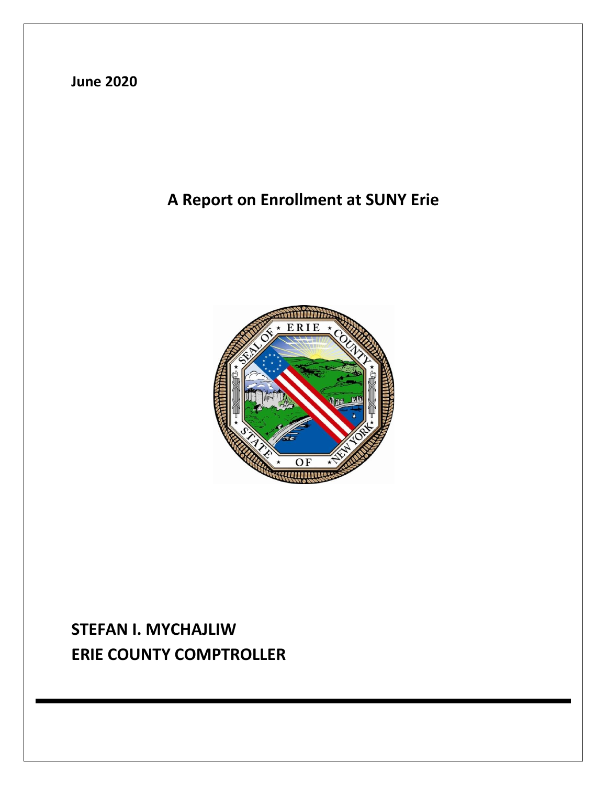**June 2020**

# **A Report on Enrollment at SUNY Erie**



# **STEFAN I. MYCHAJLIW ERIE COUNTY COMPTROLLER**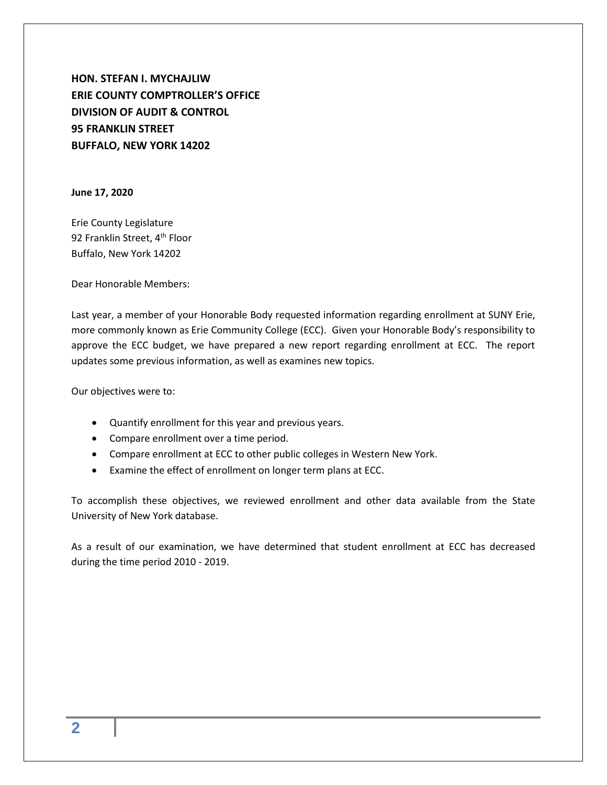**HON. STEFAN I. MYCHAJLIW ERIE COUNTY COMPTROLLER'S OFFICE DIVISION OF AUDIT & CONTROL 95 FRANKLIN STREET BUFFALO, NEW YORK 14202**

**June 17, 2020**

Erie County Legislature 92 Franklin Street, 4<sup>th</sup> Floor Buffalo, New York 14202

Dear Honorable Members:

Last year, a member of your Honorable Body requested information regarding enrollment at SUNY Erie, more commonly known as Erie Community College (ECC). Given your Honorable Body's responsibility to approve the ECC budget, we have prepared a new report regarding enrollment at ECC. The report updates some previous information, as well as examines new topics.

Our objectives were to:

- Quantify enrollment for this year and previous years.
- Compare enrollment over a time period.
- Compare enrollment at ECC to other public colleges in Western New York.
- Examine the effect of enrollment on longer term plans at ECC.

To accomplish these objectives, we reviewed enrollment and other data available from the State University of New York database.

As a result of our examination, we have determined that student enrollment at ECC has decreased during the time period 2010 - 2019.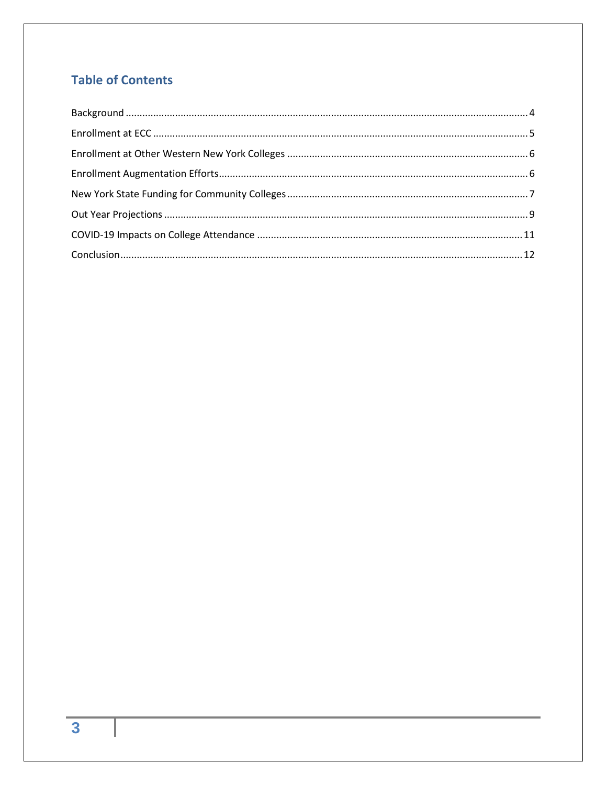### **Table of Contents**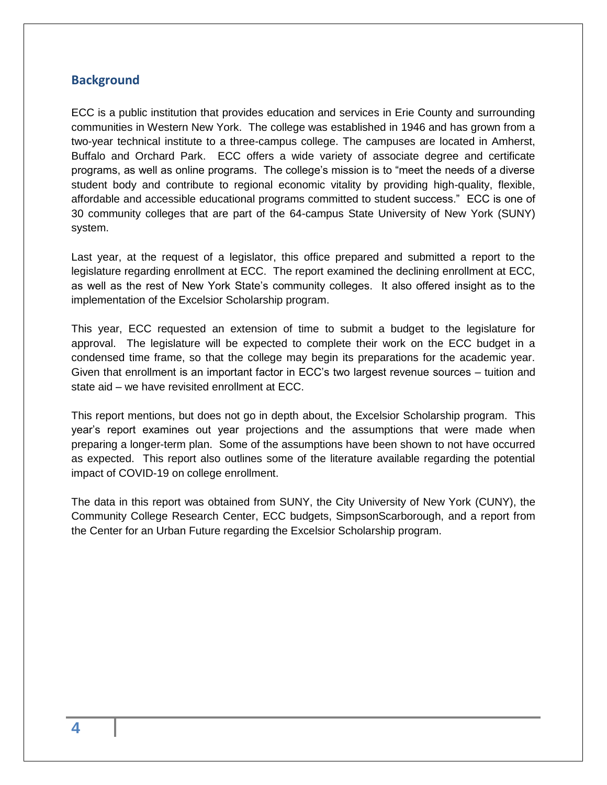#### <span id="page-3-0"></span>**Background**

ECC is a public institution that provides education and services in Erie County and surrounding communities in Western New York. The college was established in 1946 and has grown from a two-year technical institute to a three-campus college. The campuses are located in Amherst, Buffalo and Orchard Park. ECC offers a wide variety of associate degree and certificate programs, as well as online programs. The college's mission is to "meet the needs of a diverse student body and contribute to regional economic vitality by providing high-quality, flexible, affordable and accessible educational programs committed to student success." ECC is one of 30 community colleges that are part of the 64-campus State University of New York (SUNY) system.

Last year, at the request of a legislator, this office prepared and submitted a report to the legislature regarding enrollment at ECC. The report examined the declining enrollment at ECC, as well as the rest of New York State's community colleges. It also offered insight as to the implementation of the Excelsior Scholarship program.

This year, ECC requested an extension of time to submit a budget to the legislature for approval. The legislature will be expected to complete their work on the ECC budget in a condensed time frame, so that the college may begin its preparations for the academic year. Given that enrollment is an important factor in ECC's two largest revenue sources – tuition and state aid – we have revisited enrollment at ECC.

This report mentions, but does not go in depth about, the Excelsior Scholarship program. This year's report examines out year projections and the assumptions that were made when preparing a longer-term plan. Some of the assumptions have been shown to not have occurred as expected. This report also outlines some of the literature available regarding the potential impact of COVID-19 on college enrollment.

The data in this report was obtained from SUNY, the City University of New York (CUNY), the Community College Research Center, ECC budgets, SimpsonScarborough, and a report from the Center for an Urban Future regarding the Excelsior Scholarship program.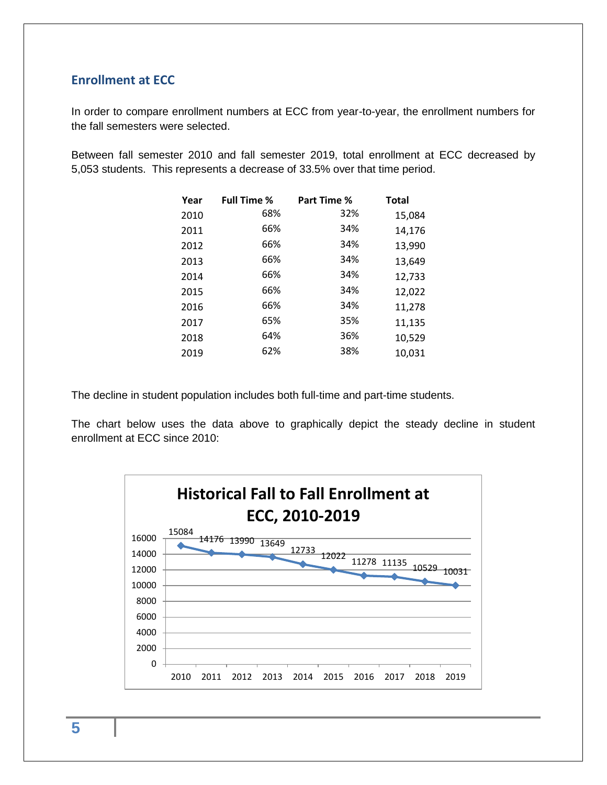#### <span id="page-4-0"></span>**Enrollment at ECC**

In order to compare enrollment numbers at ECC from year-to-year, the enrollment numbers for the fall semesters were selected.

Between fall semester 2010 and fall semester 2019, total enrollment at ECC decreased by 5,053 students. This represents a decrease of 33.5% over that time period.

| Year | <b>Full Time %</b> | Part Time % | <b>Total</b> |
|------|--------------------|-------------|--------------|
| 2010 | 68%                | 32%         | 15,084       |
| 2011 | 66%                | 34%         | 14,176       |
| 2012 | 66%                | 34%         | 13,990       |
| 2013 | 66%                | 34%         | 13,649       |
| 2014 | 66%                | 34%         | 12,733       |
| 2015 | 66%                | 34%         | 12,022       |
| 2016 | 66%                | 34%         | 11,278       |
| 2017 | 65%                | 35%         | 11,135       |
| 2018 | 64%                | 36%         | 10,529       |
| 2019 | 62%                | 38%         | 10,031       |

The decline in student population includes both full-time and part-time students.

The chart below uses the data above to graphically depict the steady decline in student enrollment at ECC since 2010:

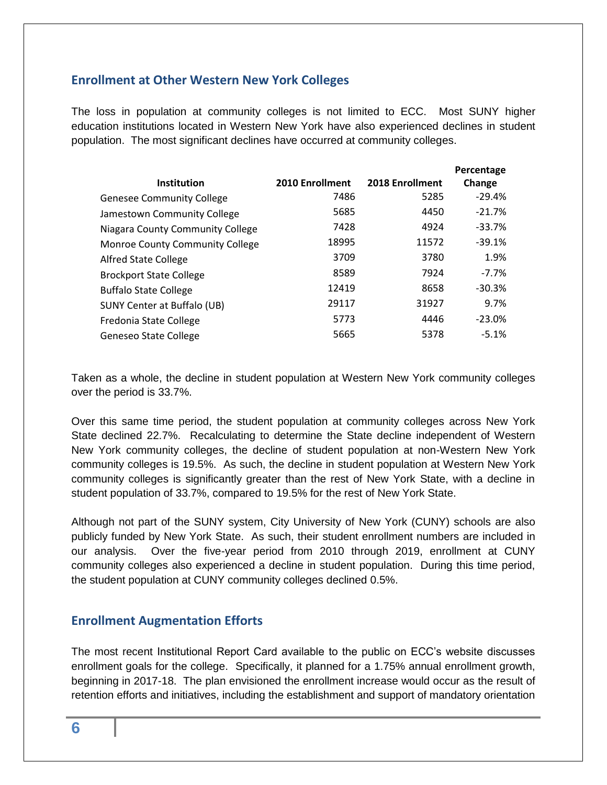#### <span id="page-5-0"></span>**Enrollment at Other Western New York Colleges**

The loss in population at community colleges is not limited to ECC. Most SUNY higher education institutions located in Western New York have also experienced declines in student population. The most significant declines have occurred at community colleges.

|                                  |                 |                 | Percentage |
|----------------------------------|-----------------|-----------------|------------|
| <b>Institution</b>               | 2010 Enrollment | 2018 Enrollment | Change     |
| <b>Genesee Community College</b> | 7486            | 5285            | $-29.4%$   |
| Jamestown Community College      | 5685            | 4450            | $-21.7%$   |
| Niagara County Community College | 7428            | 4924            | $-33.7%$   |
| Monroe County Community College  | 18995           | 11572           | $-39.1%$   |
| <b>Alfred State College</b>      | 3709            | 3780            | 1.9%       |
| <b>Brockport State College</b>   | 8589            | 7924            | $-7.7%$    |
| <b>Buffalo State College</b>     | 12419           | 8658            | $-30.3%$   |
| SUNY Center at Buffalo (UB)      | 29117           | 31927           | 9.7%       |
| Fredonia State College           | 5773            | 4446            | $-23.0%$   |
| <b>Geneseo State College</b>     | 5665            | 5378            | $-5.1%$    |

Taken as a whole, the decline in student population at Western New York community colleges over the period is 33.7%.

Over this same time period, the student population at community colleges across New York State declined 22.7%. Recalculating to determine the State decline independent of Western New York community colleges, the decline of student population at non-Western New York community colleges is 19.5%. As such, the decline in student population at Western New York community colleges is significantly greater than the rest of New York State, with a decline in student population of 33.7%, compared to 19.5% for the rest of New York State.

Although not part of the SUNY system, City University of New York (CUNY) schools are also publicly funded by New York State. As such, their student enrollment numbers are included in our analysis. Over the five-year period from 2010 through 2019, enrollment at CUNY community colleges also experienced a decline in student population. During this time period, the student population at CUNY community colleges declined 0.5%.

#### <span id="page-5-1"></span>**Enrollment Augmentation Efforts**

The most recent Institutional Report Card available to the public on ECC's website discusses enrollment goals for the college. Specifically, it planned for a 1.75% annual enrollment growth, beginning in 2017-18. The plan envisioned the enrollment increase would occur as the result of retention efforts and initiatives, including the establishment and support of mandatory orientation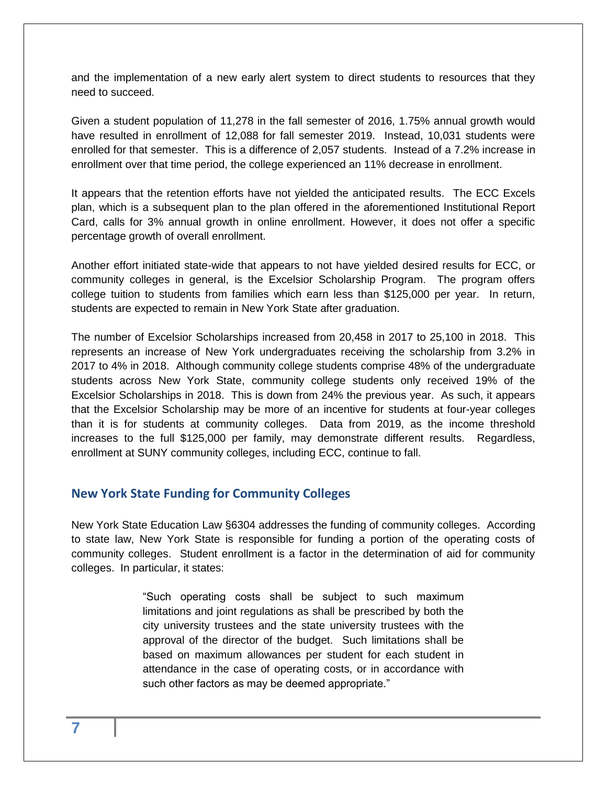and the implementation of a new early alert system to direct students to resources that they need to succeed.

Given a student population of 11,278 in the fall semester of 2016, 1.75% annual growth would have resulted in enrollment of 12,088 for fall semester 2019. Instead, 10,031 students were enrolled for that semester. This is a difference of 2,057 students. Instead of a 7.2% increase in enrollment over that time period, the college experienced an 11% decrease in enrollment.

It appears that the retention efforts have not yielded the anticipated results. The ECC Excels plan, which is a subsequent plan to the plan offered in the aforementioned Institutional Report Card, calls for 3% annual growth in online enrollment. However, it does not offer a specific percentage growth of overall enrollment.

Another effort initiated state-wide that appears to not have yielded desired results for ECC, or community colleges in general, is the Excelsior Scholarship Program. The program offers college tuition to students from families which earn less than \$125,000 per year. In return, students are expected to remain in New York State after graduation.

The number of Excelsior Scholarships increased from 20,458 in 2017 to 25,100 in 2018. This represents an increase of New York undergraduates receiving the scholarship from 3.2% in 2017 to 4% in 2018. Although community college students comprise 48% of the undergraduate students across New York State, community college students only received 19% of the Excelsior Scholarships in 2018. This is down from 24% the previous year. As such, it appears that the Excelsior Scholarship may be more of an incentive for students at four-year colleges than it is for students at community colleges. Data from 2019, as the income threshold increases to the full \$125,000 per family, may demonstrate different results. Regardless, enrollment at SUNY community colleges, including ECC, continue to fall.

#### <span id="page-6-0"></span>**New York State Funding for Community Colleges**

New York State Education Law §6304 addresses the funding of community colleges. According to state law, New York State is responsible for funding a portion of the operating costs of community colleges. Student enrollment is a factor in the determination of aid for community colleges. In particular, it states:

> "Such operating costs shall be subject to such maximum limitations and joint regulations as shall be prescribed by both the city university trustees and the state university trustees with the approval of the director of the budget. Such limitations shall be based on maximum allowances per student for each student in attendance in the case of operating costs, or in accordance with such other factors as may be deemed appropriate."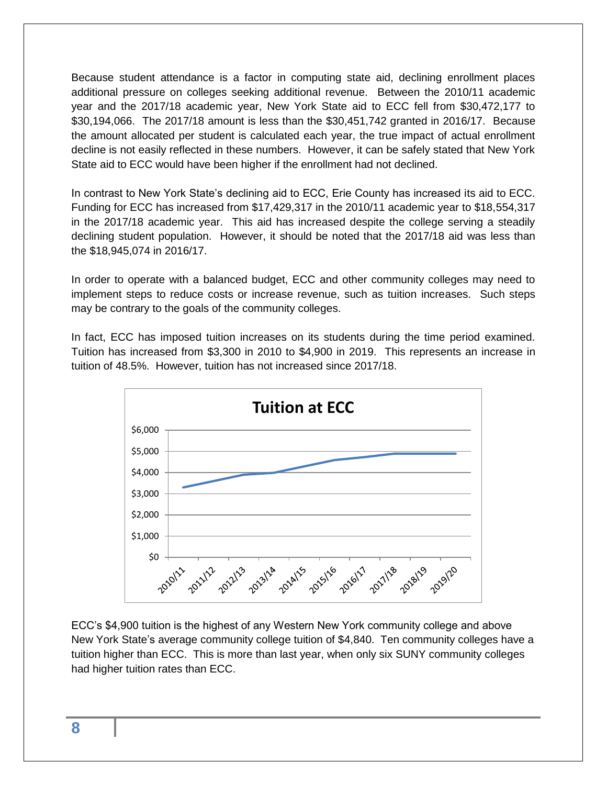Because student attendance is a factor in computing state aid, declining enrollment places additional pressure on colleges seeking additional revenue. Between the 2010/11 academic year and the 2017/18 academic year, New York State aid to ECC fell from \$30,472,177 to \$30,194,066. The 2017/18 amount is less than the \$30,451,742 granted in 2016/17. Because the amount allocated per student is calculated each year, the true impact of actual enrollment decline is not easily reflected in these numbers. However, it can be safely stated that New York State aid to ECC would have been higher if the enrollment had not declined.

In contrast to New York State's declining aid to ECC, Erie County has increased its aid to ECC. Funding for ECC has increased from \$17,429,317 in the 2010/11 academic year to \$18,554,317 in the 2017/18 academic year. This aid has increased despite the college serving a steadily declining student population. However, it should be noted that the 2017/18 aid was less than the \$18,945,074 in 2016/17.

In order to operate with a balanced budget, ECC and other community colleges may need to implement steps to reduce costs or increase revenue, such as tuition increases. Such steps may be contrary to the goals of the community colleges.

In fact, ECC has imposed tuition increases on its students during the time period examined. Tuition has increased from \$3,300 in 2010 to \$4,900 in 2019. This represents an increase in tuition of 48.5%. However, tuition has not increased since 2017/18.



ECC's \$4,900 tuition is the highest of any Western New York community college and above New York State's average community college tuition of \$4,840. Ten community colleges have a tuition higher than ECC. This is more than last year, when only six SUNY community colleges had higher tuition rates than ECC.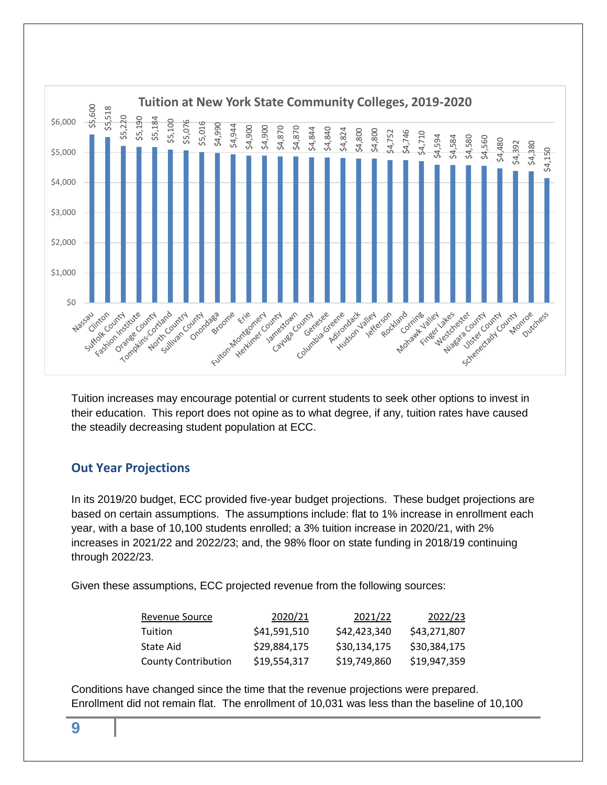

Tuition increases may encourage potential or current students to seek other options to invest in their education. This report does not opine as to what degree, if any, tuition rates have caused the steadily decreasing student population at ECC.

### <span id="page-8-0"></span>**Out Year Projections**

In its 2019/20 budget, ECC provided five-year budget projections. These budget projections are based on certain assumptions. The assumptions include: flat to 1% increase in enrollment each year, with a base of 10,100 students enrolled; a 3% tuition increase in 2020/21, with 2% increases in 2021/22 and 2022/23; and, the 98% floor on state funding in 2018/19 continuing through 2022/23.

Given these assumptions, ECC projected revenue from the following sources:

| Revenue Source             | 2020/21      | 2021/22      | 2022/23      |
|----------------------------|--------------|--------------|--------------|
| Tuition                    | \$41,591,510 | \$42,423,340 | \$43,271,807 |
| State Aid                  | \$29.884.175 | \$30,134,175 | \$30.384.175 |
| <b>County Contribution</b> | \$19.554.317 | \$19,749,860 | \$19,947.359 |

Conditions have changed since the time that the revenue projections were prepared.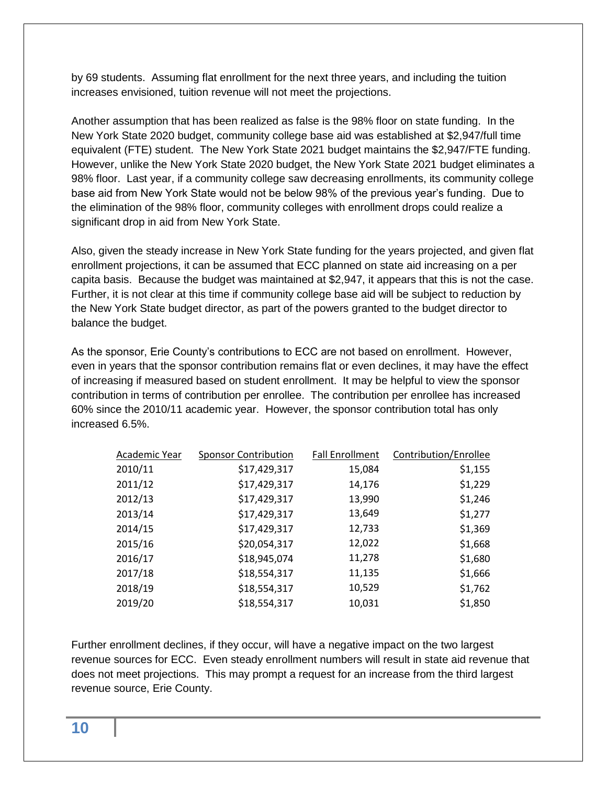by 69 students. Assuming flat enrollment for the next three years, and including the tuition increases envisioned, tuition revenue will not meet the projections.

Another assumption that has been realized as false is the 98% floor on state funding. In the New York State 2020 budget, community college base aid was established at \$2,947/full time equivalent (FTE) student. The New York State 2021 budget maintains the \$2,947/FTE funding. However, unlike the New York State 2020 budget, the New York State 2021 budget eliminates a 98% floor. Last year, if a community college saw decreasing enrollments, its community college base aid from New York State would not be below 98% of the previous year's funding. Due to the elimination of the 98% floor, community colleges with enrollment drops could realize a significant drop in aid from New York State.

Also, given the steady increase in New York State funding for the years projected, and given flat enrollment projections, it can be assumed that ECC planned on state aid increasing on a per capita basis. Because the budget was maintained at \$2,947, it appears that this is not the case. Further, it is not clear at this time if community college base aid will be subject to reduction by the New York State budget director, as part of the powers granted to the budget director to balance the budget.

As the sponsor, Erie County's contributions to ECC are not based on enrollment. However, even in years that the sponsor contribution remains flat or even declines, it may have the effect of increasing if measured based on student enrollment. It may be helpful to view the sponsor contribution in terms of contribution per enrollee. The contribution per enrollee has increased 60% since the 2010/11 academic year. However, the sponsor contribution total has only increased 6.5%.

| Academic Year | <b>Sponsor Contribution</b> | <b>Fall Enrollment</b> | Contribution/Enrollee |
|---------------|-----------------------------|------------------------|-----------------------|
| 2010/11       | \$17,429,317                | 15,084                 | \$1,155               |
| 2011/12       | \$17,429,317                | 14,176                 | \$1,229               |
| 2012/13       | \$17,429,317                | 13,990                 | \$1,246               |
| 2013/14       | \$17,429,317                | 13,649                 | \$1,277               |
| 2014/15       | \$17,429,317                | 12,733                 | \$1,369               |
| 2015/16       | \$20,054,317                | 12,022                 | \$1,668               |
| 2016/17       | \$18,945,074                | 11,278                 | \$1,680               |
| 2017/18       | \$18,554,317                | 11,135                 | \$1,666               |
| 2018/19       | \$18,554,317                | 10,529                 | \$1,762               |
| 2019/20       | \$18,554,317                | 10,031                 | \$1,850               |

Further enrollment declines, if they occur, will have a negative impact on the two largest revenue sources for ECC. Even steady enrollment numbers will result in state aid revenue that does not meet projections. This may prompt a request for an increase from the third largest revenue source, Erie County.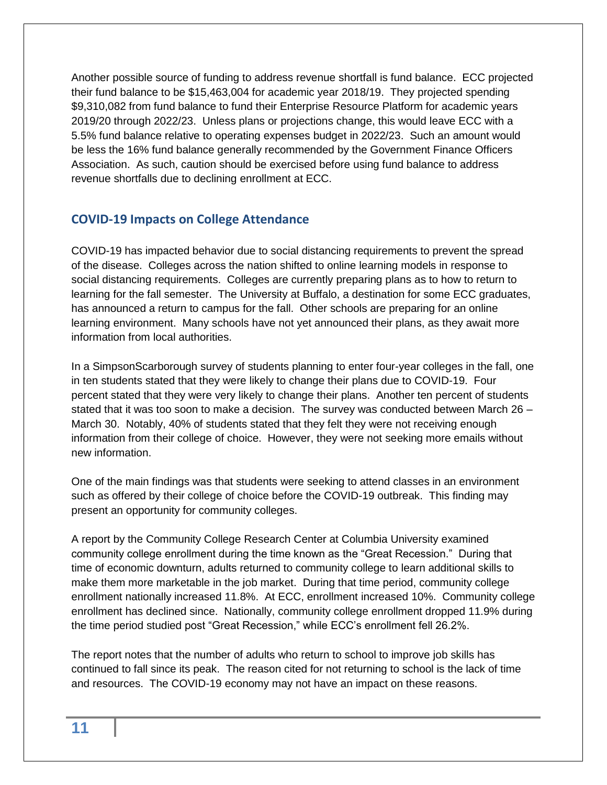Another possible source of funding to address revenue shortfall is fund balance. ECC projected their fund balance to be \$15,463,004 for academic year 2018/19. They projected spending \$9,310,082 from fund balance to fund their Enterprise Resource Platform for academic years 2019/20 through 2022/23. Unless plans or projections change, this would leave ECC with a 5.5% fund balance relative to operating expenses budget in 2022/23. Such an amount would be less the 16% fund balance generally recommended by the Government Finance Officers Association. As such, caution should be exercised before using fund balance to address revenue shortfalls due to declining enrollment at ECC.

#### <span id="page-10-0"></span>**COVID-19 Impacts on College Attendance**

COVID-19 has impacted behavior due to social distancing requirements to prevent the spread of the disease. Colleges across the nation shifted to online learning models in response to social distancing requirements. Colleges are currently preparing plans as to how to return to learning for the fall semester. The University at Buffalo, a destination for some ECC graduates, has announced a return to campus for the fall. Other schools are preparing for an online learning environment. Many schools have not yet announced their plans, as they await more information from local authorities.

In a SimpsonScarborough survey of students planning to enter four-year colleges in the fall, one in ten students stated that they were likely to change their plans due to COVID-19. Four percent stated that they were very likely to change their plans. Another ten percent of students stated that it was too soon to make a decision. The survey was conducted between March 26 – March 30. Notably, 40% of students stated that they felt they were not receiving enough information from their college of choice. However, they were not seeking more emails without new information.

One of the main findings was that students were seeking to attend classes in an environment such as offered by their college of choice before the COVID-19 outbreak. This finding may present an opportunity for community colleges.

A report by the Community College Research Center at Columbia University examined community college enrollment during the time known as the "Great Recession." During that time of economic downturn, adults returned to community college to learn additional skills to make them more marketable in the job market. During that time period, community college enrollment nationally increased 11.8%. At ECC, enrollment increased 10%. Community college enrollment has declined since. Nationally, community college enrollment dropped 11.9% during the time period studied post "Great Recession," while ECC's enrollment fell 26.2%.

The report notes that the number of adults who return to school to improve job skills has continued to fall since its peak. The reason cited for not returning to school is the lack of time and resources. The COVID-19 economy may not have an impact on these reasons.